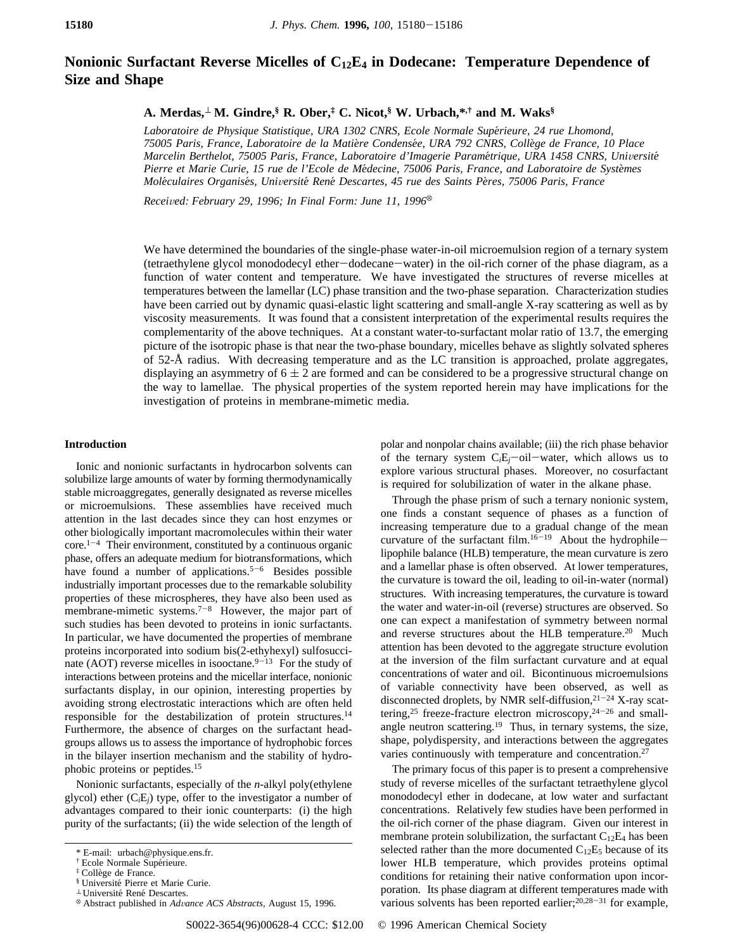# **Nonionic Surfactant Reverse Micelles of C12E4 in Dodecane: Temperature Dependence of Size and Shape**

**A. Merdas,**<sup>⊥</sup> **M. Gindre,§ R. Ober,‡ C. Nicot,§ W. Urbach,\*,† and M. Waks§**

*Laboratoire de Physique Statistique, URA 1302 CNRS, Ecole Normale Supe*´*rieure, 24 rue Lhomond, 75005 Paris, France, Laboratoire de la Matie*`*re Condense*´*e, URA 792 CNRS, Colle*`*ge de France, 10 Place Marcelin Berthelot, 75005 Paris, France, Laboratoire d'Imagerie Parame*´*trique, URA 1458 CNRS, Uni*V*ersite*´ *Pierre et Marie Curie, 15 rue de l'Ecole de Médecine, 75006 Paris, France, and Laboratoire de Systèmes Mole*´*culaires Organise*´*s, Uni*V*ersite*´ *Rene*´ *Descartes, 45 rue des Saints Pe*`*res, 75006 Paris, France*

*Received: February 29, 1996; In Final Form: June 11, 1996*<sup>®</sup>

We have determined the boundaries of the single-phase water-in-oil microemulsion region of a ternary system (tetraethylene glycol monododecyl ether-dodecane-water) in the oil-rich corner of the phase diagram, as a function of water content and temperature. We have investigated the structures of reverse micelles at temperatures between the lamellar (LC) phase transition and the two-phase separation. Characterization studies have been carried out by dynamic quasi-elastic light scattering and small-angle X-ray scattering as well as by viscosity measurements. It was found that a consistent interpretation of the experimental results requires the complementarity of the above techniques. At a constant water-to-surfactant molar ratio of 13.7, the emerging picture of the isotropic phase is that near the two-phase boundary, micelles behave as slightly solvated spheres of 52-Å radius. With decreasing temperature and as the LC transition is approached, prolate aggregates, displaying an asymmetry of  $6 \pm 2$  are formed and can be considered to be a progressive structural change on the way to lamellae. The physical properties of the system reported herein may have implications for the investigation of proteins in membrane-mimetic media.

### **Introduction**

Ionic and nonionic surfactants in hydrocarbon solvents can solubilize large amounts of water by forming thermodynamically stable microaggregates, generally designated as reverse micelles or microemulsions. These assemblies have received much attention in the last decades since they can host enzymes or other biologically important macromolecules within their water  $\text{core.}^{1-4}$  Their environment, constituted by a continuous organic phase, offers an adequate medium for biotransformations, which have found a number of applications.<sup>5-6</sup> Besides possible industrially important processes due to the remarkable solubility properties of these microspheres, they have also been used as membrane-mimetic systems.<sup>7-8</sup> However, the major part of such studies has been devoted to proteins in ionic surfactants. In particular, we have documented the properties of membrane proteins incorporated into sodium bis(2-ethyhexyl) sulfosuccinate (AOT) reverse micelles in isooctane. $9-13$  For the study of interactions between proteins and the micellar interface, nonionic surfactants display, in our opinion, interesting properties by avoiding strong electrostatic interactions which are often held responsible for the destabilization of protein structures.<sup>14</sup> Furthermore, the absence of charges on the surfactant headgroups allows us to assess the importance of hydrophobic forces in the bilayer insertion mechanism and the stability of hydrophobic proteins or peptides.15

Nonionic surfactants, especially of the *n*-alkyl poly(ethylene glycol) ether  $(C<sub>i</sub>E<sub>i</sub>)$  type, offer to the investigator a number of advantages compared to their ionic counterparts: (i) the high purity of the surfactants; (ii) the wide selection of the length of

polar and nonpolar chains available; (iii) the rich phase behavior of the ternary system  $C<sub>i</sub>E<sub>i</sub>$ -oil-water, which allows us to explore various structural phases. Moreover, no cosurfactant is required for solubilization of water in the alkane phase.

Through the phase prism of such a ternary nonionic system, one finds a constant sequence of phases as a function of increasing temperature due to a gradual change of the mean curvature of the surfactant film.<sup>16-19</sup> About the hydrophilelipophile balance (HLB) temperature, the mean curvature is zero and a lamellar phase is often observed. At lower temperatures, the curvature is toward the oil, leading to oil-in-water (normal) structures. With increasing temperatures, the curvature is toward the water and water-in-oil (reverse) structures are observed. So one can expect a manifestation of symmetry between normal and reverse structures about the HLB temperature.<sup>20</sup> Much attention has been devoted to the aggregate structure evolution at the inversion of the film surfactant curvature and at equal concentrations of water and oil. Bicontinuous microemulsions of variable connectivity have been observed, as well as disconnected droplets, by NMR self-diffusion, $21-24$  X-ray scattering,25 freeze-fracture electron microscopy,24-<sup>26</sup> and smallangle neutron scattering.<sup>19</sup> Thus, in ternary systems, the size, shape, polydispersity, and interactions between the aggregates varies continuously with temperature and concentration.<sup>27</sup>

The primary focus of this paper is to present a comprehensive study of reverse micelles of the surfactant tetraethylene glycol monododecyl ether in dodecane, at low water and surfactant concentrations. Relatively few studies have been performed in the oil-rich corner of the phase diagram. Given our interest in membrane protein solubilization, the surfactant  $C_{12}E_4$  has been selected rather than the more documented  $C_{12}E_5$  because of its lower HLB temperature, which provides proteins optimal conditions for retaining their native conformation upon incorporation. Its phase diagram at different temperatures made with various solvents has been reported earlier;  $20,28-31$  for example,

<sup>\*</sup> E-mail: urbach@physique.ens.fr.

<sup>&</sup>lt;sup>†</sup> Ecole Normale Supérieure.

<sup>&</sup>lt;sup>‡</sup> Collège de France.<br><sup>§</sup> Université Pierre et Marie Curie.

<sup>§</sup> Universite´ Pierre et Marie Curie. <sup>⊥</sup> Universite´ Rene´ Descartes. <sup>X</sup> Abstract published in *Ad*V*ance ACS Abstracts,* August 15, 1996.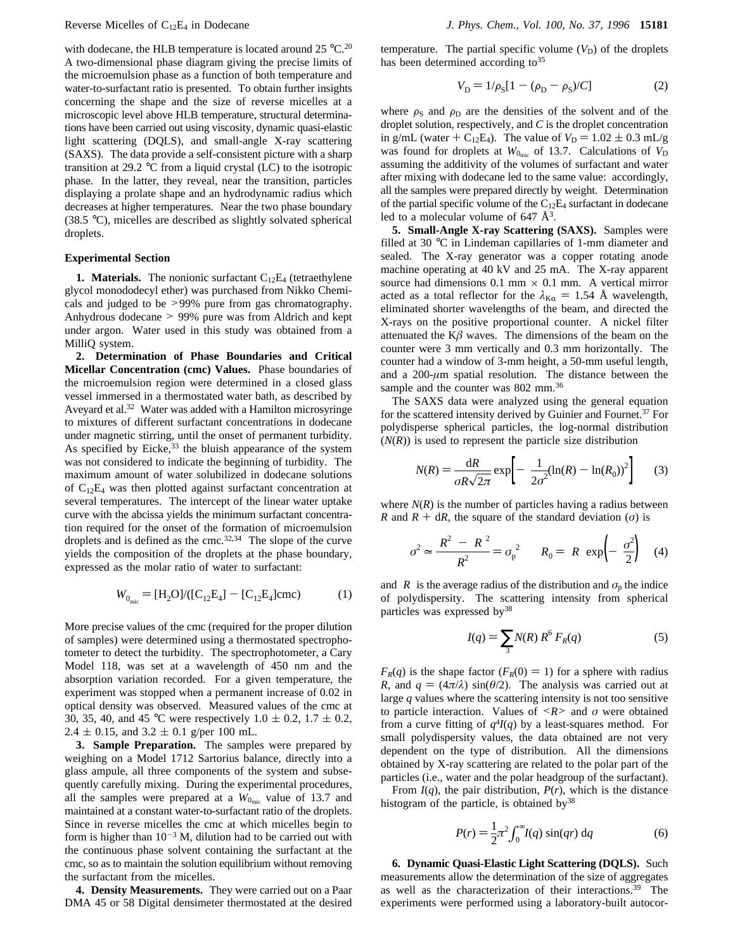with dodecane, the HLB temperature is located around  $25 \degree C^{20}$ A two-dimensional phase diagram giving the precise limits of the microemulsion phase as a function of both temperature and water-to-surfactant ratio is presented. To obtain further insights concerning the shape and the size of reverse micelles at a microscopic level above HLB temperature, structural determinations have been carried out using viscosity, dynamic quasi-elastic light scattering (DQLS), and small-angle X-ray scattering (SAXS). The data provide a self-consistent picture with a sharp transition at 29.2 °C from a liquid crystal (LC) to the isotropic phase. In the latter, they reveal, near the transition, particles displaying a prolate shape and an hydrodynamic radius which decreases at higher temperatures. Near the two phase boundary (38.5 °C), micelles are described as slightly solvated spherical droplets.

#### **Experimental Section**

**1. Materials.** The nonionic surfactant  $C_{12}E_4$  (tetraethylene glycol monododecyl ether) was purchased from Nikko Chemicals and judged to be >99% pure from gas chromatography. Anhydrous dodecane > 99% pure was from Aldrich and kept under argon. Water used in this study was obtained from a MilliQ system.

**2. Determination of Phase Boundaries and Critical Micellar Concentration (cmc) Values.** Phase boundaries of the microemulsion region were determined in a closed glass vessel immersed in a thermostated water bath, as described by Aveyard et al.<sup>32</sup> Water was added with a Hamilton microsyringe to mixtures of different surfactant concentrations in dodecane under magnetic stirring, until the onset of permanent turbidity. As specified by Eicke,<sup>33</sup> the bluish appearance of the system was not considered to indicate the beginning of turbidity. The maximum amount of water solubilized in dodecane solutions of C12E4 was then plotted against surfactant concentration at several temperatures. The intercept of the linear water uptake curve with the abcissa yields the minimum surfactant concentration required for the onset of the formation of microemulsion droplets and is defined as the cmc.<sup>32,34</sup> The slope of the curve yields the composition of the droplets at the phase boundary, expressed as the molar ratio of water to surfactant:

$$
W_{0_{\text{mic}}} = [H_2O]/([C_{12}E_4] - [C_{12}E_4] \text{cmc}) \tag{1}
$$

More precise values of the cmc (required for the proper dilution of samples) were determined using a thermostated spectrophotometer to detect the turbidity. The spectrophotometer, a Cary Model 118, was set at a wavelength of 450 nm and the absorption variation recorded. For a given temperature, the experiment was stopped when a permanent increase of 0.02 in optical density was observed. Measured values of the cmc at 30, 35, 40, and 45 °C were respectively  $1.0 \pm 0.2$ ,  $1.7 \pm 0.2$ ,  $2.4 \pm 0.15$ , and  $3.2 \pm 0.1$  g/per 100 mL.

**3. Sample Preparation.** The samples were prepared by weighing on a Model 1712 Sartorius balance, directly into a glass ampule, all three components of the system and subsequently carefully mixing. During the experimental procedures, all the samples were prepared at a  $W_{0_{\text{mic}}}$  value of 13.7 and maintained at a constant water-to-surfactant ratio of the droplets. Since in reverse micelles the cmc at which micelles begin to form is higher than  $10^{-3}$  M, dilution had to be carried out with the continuous phase solvent containing the surfactant at the cmc, so as to maintain the solution equilibrium without removing the surfactant from the micelles.

**4. Density Measurements.** They were carried out on a Paar DMA 45 or 58 Digital densimeter thermostated at the desired

temperature. The partial specific volume  $(V<sub>D</sub>)$  of the droplets has been determined according to  $35$ 

$$
V_{\rm D} = 1/\rho_{\rm S} [1 - (\rho_{\rm D} - \rho_{\rm S})/C] \tag{2}
$$

where  $\rho_S$  and  $\rho_D$  are the densities of the solvent and of the droplet solution, respectively, and *C* is the droplet concentration in g/mL (water + C<sub>12</sub>E<sub>4</sub>). The value of  $V_D = 1.02 \pm 0.3$  mL/g was found for droplets at  $W_{0<sub>mic</sub>}$  of 13.7. Calculations of  $V_D$ assuming the additivity of the volumes of surfactant and water after mixing with dodecane led to the same value: accordingly, all the samples were prepared directly by weight. Determination of the partial specific volume of the  $C_{12}E_4$  surfactant in dodecane led to a molecular volume of  $647 \text{ Å}^3$ .

**5. Small-Angle X-ray Scattering (SAXS).** Samples were filled at 30 °C in Lindeman capillaries of 1-mm diameter and sealed. The X-ray generator was a copper rotating anode machine operating at 40 kV and 25 mA. The X-ray apparent source had dimensions  $0.1$  mm  $\times$   $0.1$  mm. A vertical mirror acted as a total reflector for the  $\lambda_{\text{K}\alpha} = 1.54$  Å wavelength, eliminated shorter wavelengths of the beam, and directed the X-rays on the positive proportional counter. A nickel filter attenuated the  $K\beta$  waves. The dimensions of the beam on the counter were 3 mm vertically and 0.3 mm horizontally. The counter had a window of 3-mm height, a 50-mm useful length, and a 200-*µ*m spatial resolution. The distance between the sample and the counter was 802 mm.<sup>36</sup>

The SAXS data were analyzed using the general equation for the scattered intensity derived by Guinier and Fournet.<sup>37</sup> For polydisperse spherical particles, the log-normal distribution  $(N(R))$  is used to represent the particle size distribution

$$
N(R) = \frac{\mathrm{d}R}{\sigma R \sqrt{2\pi}} \exp\left[-\frac{1}{2\sigma^2} (\ln(R) - \ln(R_0))^2\right] \tag{3}
$$

where  $N(R)$  is the number of particles having a radius between *R* and  $R + dR$ , the square of the standard deviation (*σ*) is

$$
\sigma^2 \simeq \frac{\langle R^2 \rangle - \langle R \rangle^2}{\langle R^2 \rangle} = \sigma_p^2 \qquad R_0 = \langle R \rangle \exp\left(-\frac{\sigma^2}{2}\right) \quad (4)
$$

and  $\langle R \rangle$  is the average radius of the distribution and  $\sigma_{p}$  the indice of polydispersity. The scattering intensity from spherical particles was expressed by38

$$
I(q) = \sum_{3} N(R) R^{6} F_{R}(q) \tag{5}
$$

 $F_R(q)$  is the shape factor  $(F_R(0) = 1)$  for a sphere with radius *R*, and  $q = (4\pi/\lambda) \sin(\theta/2)$ . The analysis was carried out at large *q* values where the scattering intensity is not too sensitive to particle interaction. Values of  $\leq R$  and  $\sigma$  were obtained from a curve fitting of  $q^4I(q)$  by a least-squares method. For small polydispersity values, the data obtained are not very dependent on the type of distribution. All the dimensions obtained by X-ray scattering are related to the polar part of the particles (i.e., water and the polar headgroup of the surfactant).

From  $I(q)$ , the pair distribution,  $P(r)$ , which is the distance histogram of the particle, is obtained  $by^{38}$ 

$$
P(r) = \frac{1}{2}\pi^2 \int_0^\infty I(q) \sin(qr) \, dq \tag{6}
$$

**6. Dynamic Quasi-Elastic Light Scattering (DQLS).** Such measurements allow the determination of the size of aggregates as well as the characterization of their interactions.<sup>39</sup> The experiments were performed using a laboratory-built autocor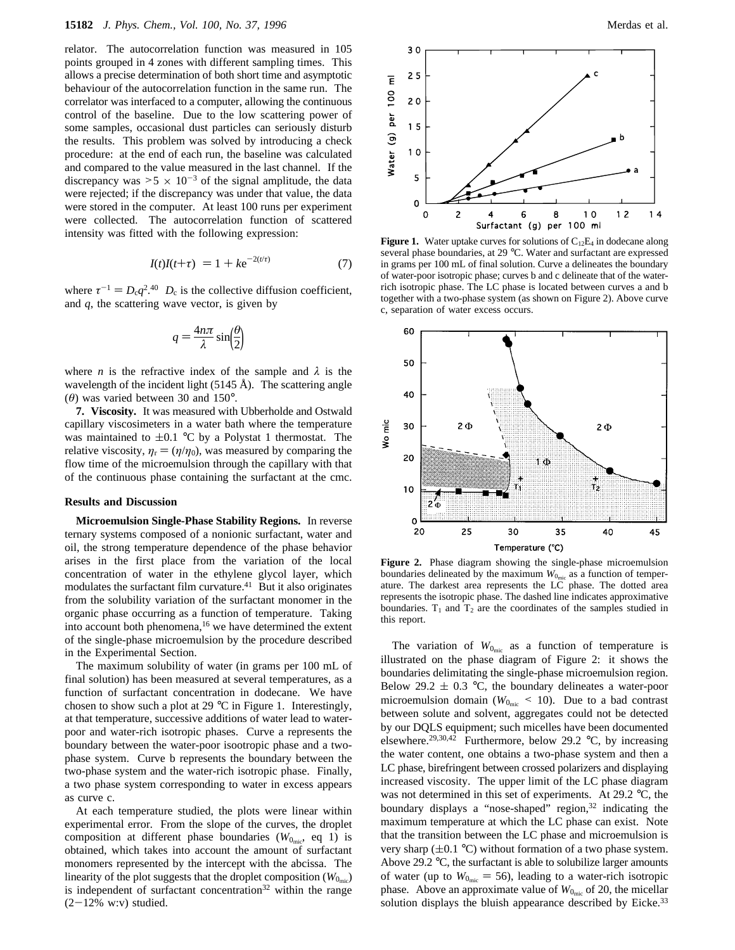relator. The autocorrelation function was measured in 105 points grouped in 4 zones with different sampling times. This allows a precise determination of both short time and asymptotic behaviour of the autocorrelation function in the same run. The correlator was interfaced to a computer, allowing the continuous control of the baseline. Due to the low scattering power of some samples, occasional dust particles can seriously disturb the results. This problem was solved by introducing a check procedure: at the end of each run, the baseline was calculated and compared to the value measured in the last channel. If the discrepancy was  $> 5 \times 10^{-3}$  of the signal amplitude, the data were rejected; if the discrepancy was under that value, the data were stored in the computer. At least 100 runs per experiment were collected. The autocorrelation function of scattered intensity was fitted with the following expression:

$$
\langle I(t)I(t+\tau)\rangle = 1 + k e^{-2(t/\tau)}\tag{7}
$$

where  $\tau^{-1} = D_c q^2$ .<sup>40</sup>  $D_c$  is the collective diffusion coefficient,<br>and *a* the scattering wave vector is given by and *q*, the scattering wave vector, is given by

$$
q = \frac{4n\pi}{\lambda} \sin\left(\frac{\theta}{2}\right)
$$

where *n* is the refractive index of the sample and  $\lambda$  is the wavelength of the incident light  $(5145 \text{ Å})$ . The scattering angle ( $\theta$ ) was varied between 30 and 150°.

**7. Viscosity.** It was measured with Ubberholde and Ostwald capillary viscosimeters in a water bath where the temperature was maintained to  $\pm 0.1$  °C by a Polystat 1 thermostat. The relative viscosity,  $\eta_r = (\eta/\eta_0)$ , was measured by comparing the flow time of the microemulsion through the capillary with that of the continuous phase containing the surfactant at the cmc.

## **Results and Discussion**

**Microemulsion Single-Phase Stability Regions.** In reverse ternary systems composed of a nonionic surfactant, water and oil, the strong temperature dependence of the phase behavior arises in the first place from the variation of the local concentration of water in the ethylene glycol layer, which modulates the surfactant film curvature.41 But it also originates from the solubility variation of the surfactant monomer in the organic phase occurring as a function of temperature. Taking into account both phenomena,<sup>16</sup> we have determined the extent of the single-phase microemulsion by the procedure described in the Experimental Section.

The maximum solubility of water (in grams per 100 mL of final solution) has been measured at several temperatures, as a function of surfactant concentration in dodecane. We have chosen to show such a plot at 29 °C in Figure 1. Interestingly, at that temperature, successive additions of water lead to waterpoor and water-rich isotropic phases. Curve a represents the boundary between the water-poor isootropic phase and a twophase system. Curve b represents the boundary between the two-phase system and the water-rich isotropic phase. Finally, a two phase system corresponding to water in excess appears as curve c.

At each temperature studied, the plots were linear within experimental error. From the slope of the curves, the droplet composition at different phase boundaries  $(W_{0_{\text{mic}}}, eq\ 1)$  is obtained, which takes into account the amount of surfactant monomers represented by the intercept with the abcissa. The linearity of the plot suggests that the droplet composition  $(W_{0_{\text{min}}})$ is independent of surfactant concentration $32$  within the range  $(2-12\%$  w:v) studied.



**Figure 1.** Water uptake curves for solutions of  $C_{12}E_4$  in dodecane along several phase boundaries, at 29 °C. Water and surfactant are expressed in grams per 100 mL of final solution. Curve a delineates the boundary of water-poor isotropic phase; curves b and c delineate that of the waterrich isotropic phase. The LC phase is located between curves a and b together with a two-phase system (as shown on Figure 2). Above curve c, separation of water excess occurs.



**Figure 2.** Phase diagram showing the single-phase microemulsion boundaries delineated by the maximum  $W_{0_{\text{mic}}}$  as a function of temperature. The darkest area represents the LC phase. The dotted area represents the isotropic phase. The dashed line indicates approximative boundaries.  $T_1$  and  $T_2$  are the coordinates of the samples studied in this report.

The variation of  $W_{0_{\text{mic}}}$  as a function of temperature is illustrated on the phase diagram of Figure 2: it shows the boundaries delimitating the single-phase microemulsion region. Below 29.2  $\pm$  0.3 °C, the boundary delineates a water-poor microemulsion domain ( $W_{0<sub>mic</sub>}$  < 10). Due to a bad contrast between solute and solvent, aggregates could not be detected by our DQLS equipment; such micelles have been documented elsewhere.<sup>29,30,42</sup> Furthermore, below 29.2  $\degree$ C, by increasing the water content, one obtains a two-phase system and then a LC phase, birefringent between crossed polarizers and displaying increased viscosity. The upper limit of the LC phase diagram was not determined in this set of experiments. At 29.2 °C, the boundary displays a "nose-shaped" region,<sup>32</sup> indicating the maximum temperature at which the LC phase can exist. Note that the transition between the LC phase and microemulsion is very sharp  $(\pm 0.1 \degree C)$  without formation of a two phase system. Above 29.2 °C, the surfactant is able to solubilize larger amounts of water (up to  $W_{0<sub>mic</sub>} = 56$ ), leading to a water-rich isotropic phase. Above an approximate value of  $W_{0_{\text{mic}}}$  of 20, the micellar solution displays the bluish appearance described by Eicke.<sup>33</sup>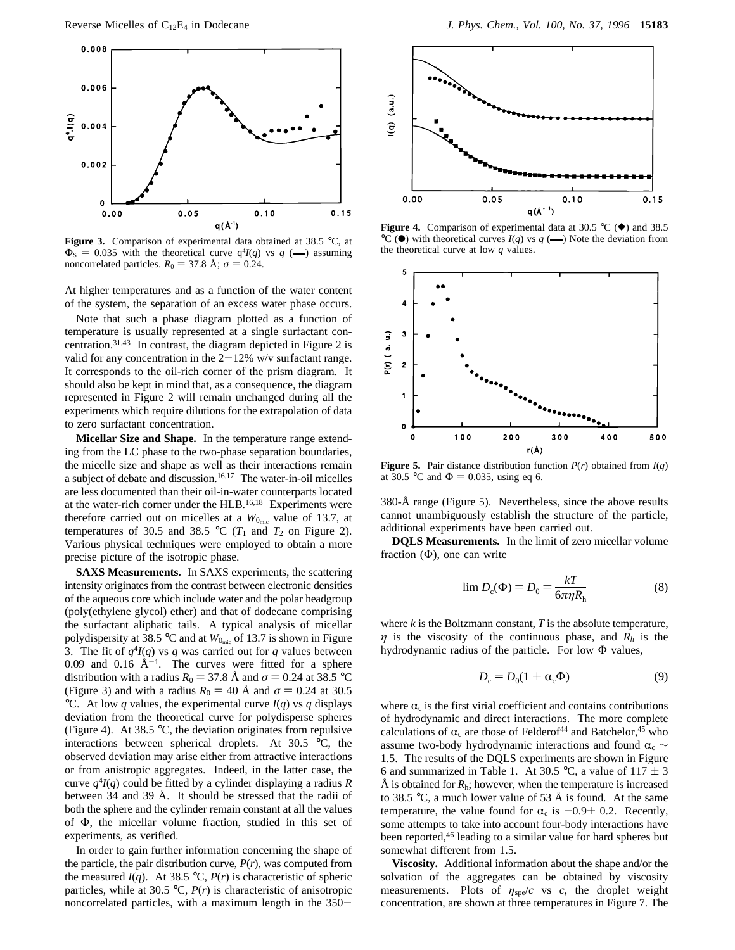

**Figure 3.** Comparison of experimental data obtained at 38.5 °C, at  $\Phi_{\rm s} = 0.035$  with the theoretical curve  $q^4I(q)$  vs *q* (-) assuming noncorrelated particles  $R_0 = 37.8$   $\AA \cdot \sigma = 0.24$ noncorrelated particles.  $R_0 = 37.8 \text{ Å}; \sigma = 0.24.$ 

At higher temperatures and as a function of the water content of the system, the separation of an excess water phase occurs.

Note that such a phase diagram plotted as a function of temperature is usually represented at a single surfactant concentration.31,43 In contrast, the diagram depicted in Figure 2 is valid for any concentration in the  $2-12\%$  w/v surfactant range. It corresponds to the oil-rich corner of the prism diagram. It should also be kept in mind that, as a consequence, the diagram represented in Figure 2 will remain unchanged during all the experiments which require dilutions for the extrapolation of data to zero surfactant concentration.

**Micellar Size and Shape.** In the temperature range extending from the LC phase to the two-phase separation boundaries, the micelle size and shape as well as their interactions remain a subject of debate and discussion.16,17 The water-in-oil micelles are less documented than their oil-in-water counterparts located at the water-rich corner under the HLB.16,18 Experiments were therefore carried out on micelles at a  $W_{0_{\text{mic}}}$  value of 13.7, at temperatures of 30.5 and 38.5 °C ( $T_1$  and  $T_2$  on Figure 2). Various physical techniques were employed to obtain a more precise picture of the isotropic phase.

**SAXS Measurements.** In SAXS experiments, the scattering intensity originates from the contrast between electronic densities of the aqueous core which include water and the polar headgroup (poly(ethylene glycol) ether) and that of dodecane comprising the surfactant aliphatic tails. A typical analysis of micellar polydispersity at 38.5 °C and at  $W_{0_{\text{mic}}}$  of 13.7 is shown in Figure 3. The fit of  $q^4I(q)$  vs *q* was carried out for *q* values between 0.09 and 0.16  $\AA^{-1}$ . The curves were fitted for a sphere distribution with a radius  $R_0 = 37.8 \text{ Å}$  and  $\sigma = 0.24$  at 38.5 °C (Figure 3) and with a radius  $R_0 = 40 \text{ Å}$  and  $\sigma = 0.24$  at 30.5 °C. At low *q* values, the experimental curve  $I(q)$  vs *q* displays deviation from the theoretical curve for polydisperse spheres (Figure 4). At 38.5 °C, the deviation originates from repulsive interactions between spherical droplets. At 30.5 °C, the observed deviation may arise either from attractive interactions or from anistropic aggregates. Indeed, in the latter case, the curve *q*<sup>4</sup>*I*(*q*) could be fitted by a cylinder displaying a radius *R* between 34 and 39 Å. It should be stressed that the radii of both the sphere and the cylinder remain constant at all the values of Φ, the micellar volume fraction, studied in this set of experiments, as verified.

In order to gain further information concerning the shape of the particle, the pair distribution curve,  $P(r)$ , was computed from the measured  $I(q)$ . At 38.5 °C,  $P(r)$  is characteristic of spheric particles, while at 30.5  $\degree$ C,  $P(r)$  is characteristic of anisotropic noncorrelated particles, with a maximum length in the 350-



**Figure 4.** Comparison of experimental data at 30.5  $^{\circ}C$  ( $\blacklozenge$ ) and 38.5 °C ( $\bullet$ ) with theoretical curves *I*(*q*) vs *q* ( $\bullet$ ) Note the deviation from the theoretical curve at low *q* values.



**Figure 5.** Pair distance distribution function  $P(r)$  obtained from  $I(q)$ at 30.5 °C and  $\Phi = 0.035$ , using eq 6.

380-Å range (Figure 5). Nevertheless, since the above results cannot unambiguously establish the structure of the particle, additional experiments have been carried out.

**DQLS Measurements.** In the limit of zero micellar volume fraction  $(\Phi)$ , one can write

$$
\lim D_{\rm c}(\Phi) = D_0 = \frac{kT}{6\pi\eta R_{\rm h}}\tag{8}
$$

where *k* is the Boltzmann constant, *T* is the absolute temperature, *η* is the viscosity of the continuous phase, and *Rh* is the hydrodynamic radius of the particle. For low Φ values,

$$
D_{\rm c} = D_0 (1 + \alpha_{\rm c} \Phi) \tag{9}
$$

where  $\alpha_c$  is the first virial coefficient and contains contributions of hydrodynamic and direct interactions. The more complete calculations of  $\alpha_c$  are those of Felderof<sup>44</sup> and Batchelor,<sup>45</sup> who assume two-body hydrodynamic interactions and found  $\alpha_c \sim$ 1.5. The results of the DQLS experiments are shown in Figure 6 and summarized in Table 1. At 30.5 °C, a value of  $117 \pm 3$  $\AA$  is obtained for  $R_h$ ; however, when the temperature is increased to 38.5  $\degree$ C, a much lower value of 53 Å is found. At the same temperature, the value found for  $\alpha_c$  is  $-0.9\pm$  0.2. Recently, some attempts to take into account four-body interactions have been reported,<sup>46</sup> leading to a similar value for hard spheres but somewhat different from 1.5.

**Viscosity.** Additional information about the shape and/or the solvation of the aggregates can be obtained by viscosity measurements. Plots of  $\eta_{sp}e/c$  vs *c*, the droplet weight concentration, are shown at three temperatures in Figure 7. The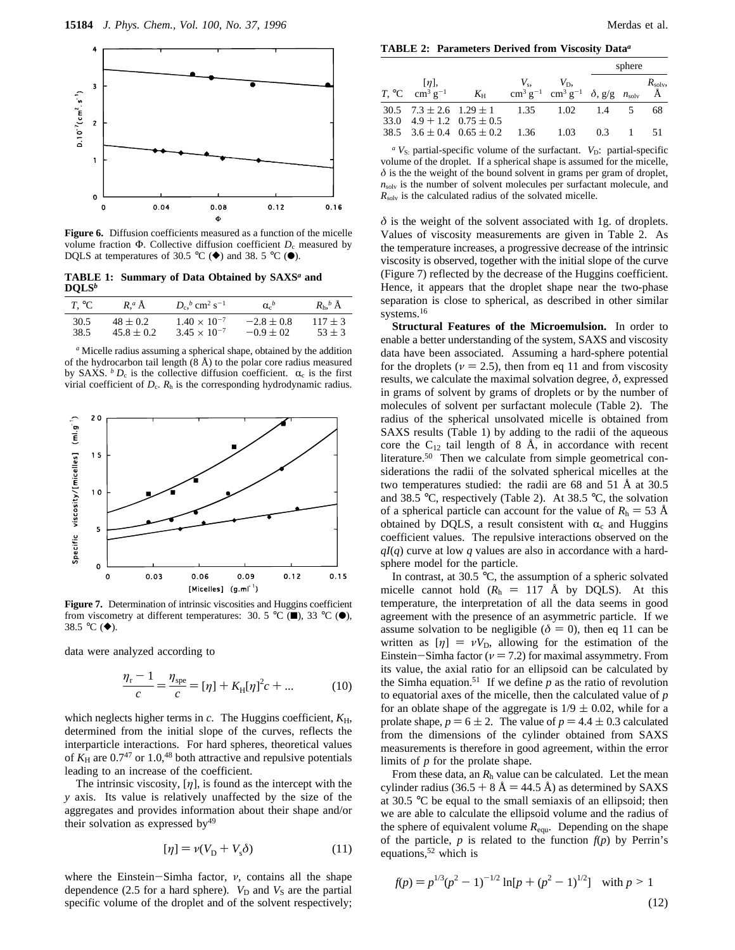

**Figure 6.** Diffusion coefficients measured as a function of the micelle volume fraction  $Φ$ . Collective diffusion coefficient  $D<sub>c</sub>$  measured by DQLS at temperatures of 30.5 °C ( $\blacklozenge$ ) and 38. 5 °C ( $\blacklozenge$ ).

**TABLE 1: Summary of Data Obtained by SAXS***<sup>a</sup>* **and DQLS***<sup>b</sup>*

| $T$ , $^{\circ}$ C | $R^a \AA$      | $D_{c}{}^{b}$ cm <sup>2</sup> s <sup>-1</sup> | $\alpha^b$     | $R_{\rm h}{}^b$ A |
|--------------------|----------------|-----------------------------------------------|----------------|-------------------|
| 30.5               | $48 \pm 0.2$   | $1.40 \times 10^{-7}$                         | $-2.8 \pm 0.8$ | $117 \pm 3$       |
| 38.5               | $45.8 \pm 0.2$ | $3.45 \times 10^{-7}$                         | $-0.9 \pm 0.2$ | $53 \pm 3$        |

*<sup>a</sup>* Micelle radius assuming a spherical shape, obtained by the addition of the hydrocarbon tail length  $(8 \text{ Å})$  to the polar core radius measured by SAXS.  ${}^bD_c$  is the collective diffusion coefficient.  $\alpha_c$  is the first virial coefficient of  $D_c$ .  $R_h$  is the corresponding hydrodynamic radius.



**Figure 7.** Determination of intrinsic viscosities and Huggins coefficient from viscometry at different temperatures: 30. 5 °C ( $\blacksquare$ ), 33 °C ( $\spadesuit$ ), 38.5 °C ( $\blacklozenge$ ).

data were analyzed according to

$$
\frac{\eta_{\rm r} - 1}{c} = \frac{\eta_{\rm spe}}{c} = [\eta] + K_{\rm H}[\eta]^2 c + \dots \tag{10}
$$

which neglects higher terms in  $c$ . The Huggins coefficient,  $K_{\rm H}$ , determined from the initial slope of the curves, reflects the interparticle interactions. For hard spheres, theoretical values of  $K_H$  are 0.7<sup>47</sup> or 1.0,<sup>48</sup> both attractive and repulsive potentials leading to an increase of the coefficient.

The intrinsic viscosity,  $[\eta]$ , is found as the intercept with the *y* axis. Its value is relatively unaffected by the size of the aggregates and provides information about their shape and/or their solvation as expressed by<sup>49</sup>

$$
[\eta] = \nu(V_{\rm D} + V_{\rm s}\delta) \tag{11}
$$

where the Einstein-Simha factor, *<sup>ν</sup>*, contains all the shape dependence (2.5 for a hard sphere).  $V_D$  and  $V_S$  are the partial specific volume of the droplet and of the solvent respectively;

**TABLE 2: Parameters Derived from Viscosity Data***<sup>a</sup>*

|                                                                                  |                                                            |                                                                                                           |                             | sphere |  |                  |
|----------------------------------------------------------------------------------|------------------------------------------------------------|-----------------------------------------------------------------------------------------------------------|-----------------------------|--------|--|------------------|
| $\lfloor \eta \rfloor$<br>$T, {}^{\circ}C$ cm <sup>3</sup> g <sup>-1</sup> $K_H$ |                                                            | $\text{cm}^3 \text{ g}^{-1} \text{ cm}^3 \text{ g}^{-1} \text{ \delta, g/g } n_{\text{solv}} \text{ \AA}$ | $V_{\rm s}$ , $V_{\rm D}$ , |        |  | $R_{\rm solv}$ , |
|                                                                                  |                                                            |                                                                                                           |                             |        |  |                  |
|                                                                                  | $30.5$ $7.3 \pm 2.6$ $1.29 \pm 1$ $1.35$ $1.02$ $1.4$ 5    |                                                                                                           |                             |        |  | 68               |
|                                                                                  | 33.0 $4.9 + 1.2$ $0.75 \pm 0.5$                            |                                                                                                           |                             |        |  |                  |
|                                                                                  | 38.5 $3.6 \pm 0.4$ $0.65 \pm 0.2$ $1.36$ $1.03$ $0.3$ 1 51 |                                                                                                           |                             |        |  |                  |

*<sup>a</sup> V*S: partial-specific volume of the surfactant. *V*D: partial-specific volume of the droplet. If a spherical shape is assumed for the micelle,  $\delta$  is the the weight of the bound solvent in grams per gram of droplet,  $n<sub>solv</sub>$  is the number of solvent molecules per surfactant molecule, and *R*solv is the calculated radius of the solvated micelle.

 $\delta$  is the weight of the solvent associated with 1g. of droplets. Values of viscosity measurements are given in Table 2. As the temperature increases, a progressive decrease of the intrinsic viscosity is observed, together with the initial slope of the curve (Figure 7) reflected by the decrease of the Huggins coefficient. Hence, it appears that the droplet shape near the two-phase separation is close to spherical, as described in other similar systems.<sup>16</sup>

**Structural Features of the Microemulsion.** In order to enable a better understanding of the system, SAXS and viscosity data have been associated. Assuming a hard-sphere potential for the droplets ( $\nu = 2.5$ ), then from eq 11 and from viscosity results, we calculate the maximal solvation degree,  $\delta$ , expressed in grams of solvent by grams of droplets or by the number of molecules of solvent per surfactant molecule (Table 2). The radius of the spherical unsolvated micelle is obtained from SAXS results (Table 1) by adding to the radii of the aqueous core the  $C_{12}$  tail length of 8 Å, in accordance with recent literature.<sup>50</sup> Then we calculate from simple geometrical considerations the radii of the solvated spherical micelles at the two temperatures studied: the radii are 68 and 51 Å at 30.5 and 38.5 °C, respectively (Table 2). At 38.5 °C, the solvation of a spherical particle can account for the value of  $R<sub>h</sub> = 53$  Å obtained by DQLS, a result consistent with  $\alpha_c$  and Huggins coefficient values. The repulsive interactions observed on the *qI*(*q*) curve at low *q* values are also in accordance with a hardsphere model for the particle.

In contrast, at 30.5 °C, the assumption of a spheric solvated micelle cannot hold  $(R_h = 117 \text{ Å}$  by DQLS). At this temperature, the interpretation of all the data seems in good agreement with the presence of an asymmetric particle. If we assume solvation to be negligible ( $\delta = 0$ ), then eq 11 can be written as  $[\eta] = vV_D$ , allowing for the estimation of the Einstein-Simha factor ( $\nu$  = 7.2) for maximal assymmetry. From its value, the axial ratio for an ellipsoid can be calculated by the Simha equation.<sup>51</sup> If we define  $p$  as the ratio of revolution to equatorial axes of the micelle, then the calculated value of *p* for an oblate shape of the aggregate is  $1/9 \pm 0.02$ , while for a prolate shape,  $p = 6 \pm 2$ . The value of  $p = 4.4 \pm 0.3$  calculated from the dimensions of the cylinder obtained from SAXS measurements is therefore in good agreement, within the error limits of *p* for the prolate shape.

From these data, an  $R<sub>h</sub>$  value can be calculated. Let the mean cylinder radius  $(36.5 + 8 \text{ Å} = 44.5 \text{ Å})$  as determined by SAXS at 30.5 °C be equal to the small semiaxis of an ellipsoid; then we are able to calculate the ellipsoid volume and the radius of the sphere of equivalent volume *R*equ. Depending on the shape of the particle,  $p$  is related to the function  $f(p)$  by Perrin's equations,<sup>52</sup> which is

$$
f(p) = p^{1/3} (p^2 - 1)^{-1/2} \ln[p + (p^2 - 1)^{1/2}] \quad \text{with } p > 1
$$
\n(12)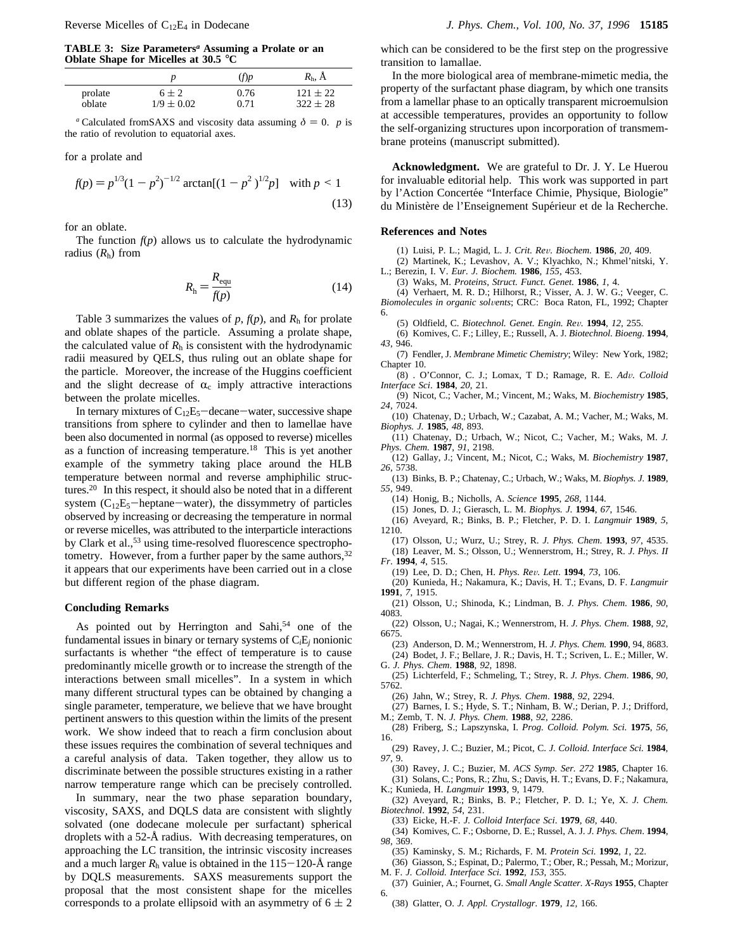**TABLE 3: Size Parameters***<sup>a</sup>* **Assuming a Prolate or an Oblate Shape for Micelles at 30.5** °**C**

|         |                | (f)p | $R_{\rm h}$ , A |
|---------|----------------|------|-----------------|
| prolate | $6 \pm 2$      | 0.76 | $121 + 22$      |
| oblate  | $1/9 \pm 0.02$ | 0.71 | $322 \pm 28$    |

*a* Calculated from SAXS and viscosity data assuming  $\delta = 0$ . *p* is the ratio of revolution to equatorial axes.

for a prolate and

$$
f(p) = p^{1/3} (1 - p^2)^{-1/2} \arctan[(1 - p^2)^{1/2} p] \quad \text{with } p < 1 \tag{13}
$$

for an oblate.

The function  $f(p)$  allows us to calculate the hydrodynamic radius (*R*h) from

$$
R_{\rm h} = \frac{R_{\rm equ}}{f(p)}\tag{14}
$$

Table 3 summarizes the values of  $p$ ,  $f(p)$ , and  $R<sub>h</sub>$  for prolate and oblate shapes of the particle. Assuming a prolate shape, the calculated value of  $R<sub>h</sub>$  is consistent with the hydrodynamic radii measured by QELS, thus ruling out an oblate shape for the particle. Moreover, the increase of the Huggins coefficient and the slight decrease of  $\alpha_c$  imply attractive interactions between the prolate micelles.

In ternary mixtures of  $C_{12}E_5$ -decane-water, successive shape transitions from sphere to cylinder and then to lamellae have been also documented in normal (as opposed to reverse) micelles as a function of increasing temperature.18 This is yet another example of the symmetry taking place around the HLB temperature between normal and reverse amphiphilic structures.20 In this respect, it should also be noted that in a different system  $(C_{12}E_5$ -heptane-water), the dissymmetry of particles observed by increasing or decreasing the temperature in normal or reverse micelles, was attributed to the interparticle interactions by Clark et al.,<sup>53</sup> using time-resolved fluorescence spectrophotometry. However, from a further paper by the same authors,  $32$ it appears that our experiments have been carried out in a close but different region of the phase diagram.

#### **Concluding Remarks**

As pointed out by Herrington and Sahi,<sup>54</sup> one of the fundamental issues in binary or ternary systems of C*i*E*<sup>j</sup>* nonionic surfactants is whether "the effect of temperature is to cause predominantly micelle growth or to increase the strength of the interactions between small micelles". In a system in which many different structural types can be obtained by changing a single parameter, temperature, we believe that we have brought pertinent answers to this question within the limits of the present work. We show indeed that to reach a firm conclusion about these issues requires the combination of several techniques and a careful analysis of data. Taken together, they allow us to discriminate between the possible structures existing in a rather narrow temperature range which can be precisely controlled.

In summary, near the two phase separation boundary, viscosity, SAXS, and DQLS data are consistent with slightly solvated (one dodecane molecule per surfactant) spherical droplets with a 52-Å radius. With decreasing temperatures, on approaching the LC transition, the intrinsic viscosity increases and a much larger  $R_h$  value is obtained in the 115-120-Å range by DQLS measurements. SAXS measurements support the proposal that the most consistent shape for the micelles corresponds to a prolate ellipsoid with an asymmetry of  $6 \pm 2$  which can be considered to be the first step on the progressive transition to lamallae.

In the more biological area of membrane-mimetic media, the property of the surfactant phase diagram, by which one transits from a lamellar phase to an optically transparent microemulsion at accessible temperatures, provides an opportunity to follow the self-organizing structures upon incorporation of transmembrane proteins (manuscript submitted).

**Acknowledgment.** We are grateful to Dr. J. Y. Le Huerou for invaluable editorial help. This work was supported in part by l'Action Concertée "Interface Chimie, Physique, Biologie" du Ministère de l'Enseignement Supérieur et de la Recherche.

#### **References and Notes**

(1) Luisi, P. L.; Magid, L. J. *Crit. Re*V*. Biochem*. **<sup>1986</sup>**, *<sup>20</sup>*, 409.

(2) Martinek, K.; Levashov, A. V.; Klyachko, N.; Khmel'nitski, Y. L.; Berezin, I. V. *Eur. J. Biochem.* **1986**, *155*, 453.

(3) Waks, M. *Proteins, Struct. Funct. Genet.* **1986**, *1*, 4.

(4) Verhaert, M. R. D.; Hilhorst, R.; Visser, A. J. W. G.; Veeger, C. *Biomolecules in organic sol*V*ents*; CRC: Boca Raton, FL, 1992; Chapter 6.

- (5) Oldfield, C. *Biotechnol. Genet. Engin. Re*V*.* **<sup>1994</sup>**, *<sup>12</sup>*, 255.
- (6) Komives, C. F.; Lilley, E.; Russell, A. J. *Biotechnol. Bioeng*. **1994**, *43*, 946.
- (7) Fendler, J. *Membrane Mimetic Chemistry*; Wiley: New York, 1982; Chapter 10.
- (8) . O'Connor, C. J.; Lomax, T D.; Ramage, R. E. *Ad*V*. Colloid Interface Sci*. **1984**, *20*, 21.
- (9) Nicot, C.; Vacher, M.; Vincent, M.; Waks, M. *Biochemistry* **1985**, *24*, 7024.
- (10) Chatenay, D.; Urbach, W.; Cazabat, A. M.; Vacher, M.; Waks, M. *Biophys. J.* **1985**, *48*, 893.
- (11) Chatenay, D.; Urbach, W.; Nicot, C.; Vacher, M.; Waks, M. *J. Phys. Chem.* **1987**, *91*, 2198.
- (12) Gallay, J.; Vincent, M.; Nicot, C.; Waks, M. *Biochemistry* **1987**, *26*, 5738.
- (13) Binks, B. P.; Chatenay, C.; Urbach, W.; Waks, M. *Biophys. J.* **1989**, *55*, 949.
	- (14) Honig, B.; Nicholls, A. *Science* **1995**, *268*, 1144.
- (15) Jones, D. J.; Gierasch, L. M. *Biophys. J*. **1994**, *67*, 1546.
- (16) Aveyard, R.; Binks, B. P.; Fletcher, P. D. I. *Langmuir* **1989**, *5*, 1210.
- (17) Olsson, U.; Wurz, U.; Strey, R. *J. Phys. Chem*. **1993**, *97*, 4535. (18) Leaver, M. S.; Olsson, U.; Wennerstrom, H.; Strey, R. *J. Phys. II*
- *Fr*. **1994**, *4*, 515.
	- (19) Lee, D. D.; Chen, H. *Phys. Re*V*. Lett*. **<sup>1994</sup>**, *<sup>73</sup>*, 106.
- (20) Kunieda, H.; Nakamura, K.; Davis, H. T.; Evans, D. F. *Langmuir* **1991**, *7*, 1915.
- (21) Olsson, U.; Shinoda, K.; Lindman, B. *J. Phys. Chem*. **1986**, *90*, 4083.
- (22) Olsson, U.; Nagai, K.; Wennerstrom, H. *J. Phys. Chem*. **1988**, *92*, 6675.
- (23) Anderson, D. M.; Wennerstrom, H. *J. Phys. Chem.* **1990**, 94, 8683. (24) Bodet, J. F.; Bellare, J. R.; Davis, H. T.; Scriven, L. E.; Miller, W.
- G. *J. Phys. Chem*. **1988**, *92*, 1898.
- (25) Lichterfeld, F.; Schmeling, T.; Strey, R. *J. Phys*. *Chem*. **1986**, *90*, 5762.
	- (26) Jahn, W.; Strey, R. *J. Phys. Chem*. **1988**, *92*, 2294.
- (27) Barnes, I. S.; Hyde, S. T.; Ninham, B. W.; Derian, P. J.; Drifford, M.; Zemb, T. N. *J. Phys. Chem*. **1988**, *92*, 2286.
- (28) Friberg, S.; Lapszynska, I. *Prog. Colloid. Polym. Sci.* **1975**, *56*, 16.
- (29) Ravey, J. C.; Buzier, M.; Picot, C. *J. Colloid. Interface Sci.* **1984**, *97*, 9.
- (30) Ravey, J. C.; Buzier, M. *ACS Symp. Ser. 272* **1985**, Chapter 16. (31) Solans, C.; Pons, R.; Zhu, S.; Davis, H. T.; Evans, D. F.; Nakamura, K.; Kunieda, H. *Langmuir* **1993**, 9, 1479.
- (32) Aveyard, R.; Binks, B. P.; Fletcher, P. D. I.; Ye, X. *J. Chem. Biotechnol*. **1992**, *54*, 231.
- (33) Eicke, H.-F. *J. Colloid Interface Sci*. **1979**, *68*, 440.
- (34) Komives, C. F.; Osborne, D. E.; Russel, A. J. *J. Phys. Chem*. **1994**,
- *98*, 369.
	- (35) Kaminsky, S. M.; Richards, F. M. *Protein Sci.* **1992**, *1*, 22.
- (36) Giasson, S.; Espinat, D.; Palermo, T.; Ober, R.; Pessah, M.; Morizur, M. F. *J. Colloid. Interface Sci.* **1992**, *153*, 355.
- (37) Guinier, A.; Fournet, G. *Small Angle Scatter. X-Rays* **1955**, Chapter 6.
- (38) Glatter, O. *J. Appl. Crystallogr.* **1979**, *12,* 166.